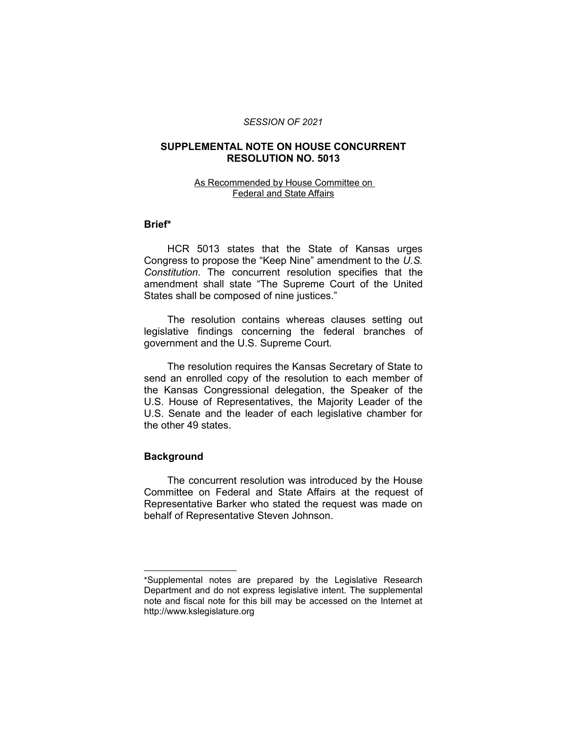#### *SESSION OF 2021*

### **SUPPLEMENTAL NOTE ON HOUSE CONCURRENT RESOLUTION NO. 5013**

#### As Recommended by House Committee on Federal and State Affairs

## **Brief\***

HCR 5013 states that the State of Kansas urges Congress to propose the "Keep Nine" amendment to the *U.S. Constitution*. The concurrent resolution specifies that the amendment shall state "The Supreme Court of the United States shall be composed of nine justices."

The resolution contains whereas clauses setting out legislative findings concerning the federal branches of government and the U.S. Supreme Court.

The resolution requires the Kansas Secretary of State to send an enrolled copy of the resolution to each member of the Kansas Congressional delegation, the Speaker of the U.S. House of Representatives, the Majority Leader of the U.S. Senate and the leader of each legislative chamber for the other 49 states.

#### **Background**

 $\overline{\phantom{a}}$  , where  $\overline{\phantom{a}}$  , where  $\overline{\phantom{a}}$ 

The concurrent resolution was introduced by the House Committee on Federal and State Affairs at the request of Representative Barker who stated the request was made on behalf of Representative Steven Johnson.

<sup>\*</sup>Supplemental notes are prepared by the Legislative Research Department and do not express legislative intent. The supplemental note and fiscal note for this bill may be accessed on the Internet at http://www.kslegislature.org